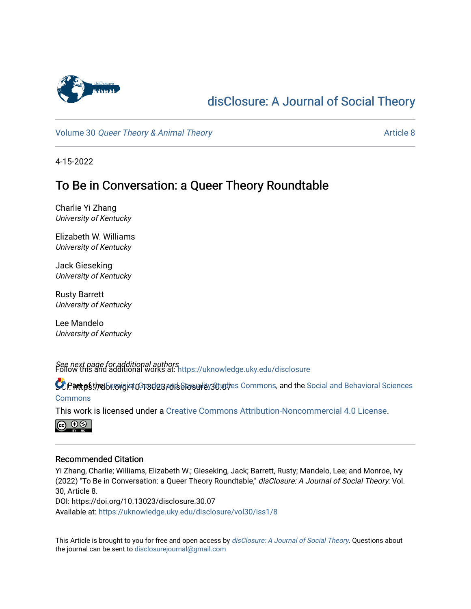

# [disClosure: A Journal of Social Theory](https://uknowledge.uky.edu/disclosure)

Volume 30 [Queer Theory & Animal Theory](https://uknowledge.uky.edu/disclosure/vol30) Article 8

4-15-2022

# To Be in Conversation: a Queer Theory Roundtable

Charlie Yi Zhang University of Kentucky

Elizabeth W. Williams University of Kentucky

Jack Gieseking University of Kentucky

Rusty Barrett University of Kentucky

Lee Mandelo University of Kentucky

See next page for additional authors Follow this and additional works at: [https://uknowledge.uky.edu/disclosure](https://uknowledge.uky.edu/disclosure?utm_source=uknowledge.uky.edu%2Fdisclosure%2Fvol30%2Fiss1%2F8&utm_medium=PDF&utm_campaign=PDFCoverPages)

**9 Part ps the Georgist OF 3023 Adis Elessaris 30.00** fes Commons, and the Social and Behavioral Sciences **[Commons](http://network.bepress.com/hgg/discipline/316?utm_source=uknowledge.uky.edu%2Fdisclosure%2Fvol30%2Fiss1%2F8&utm_medium=PDF&utm_campaign=PDFCoverPages)** 

This work is licensed under a [Creative Commons Attribution-Noncommercial 4.0 License](https://creativecommons.org/licenses/by-nc/4.0/).



#### Recommended Citation

Yi Zhang, Charlie; Williams, Elizabeth W.; Gieseking, Jack; Barrett, Rusty; Mandelo, Lee; and Monroe, Ivy (2022) "To Be in Conversation: a Queer Theory Roundtable," disClosure: A Journal of Social Theory: Vol. 30, Article 8. DOI: https://doi.org/10.13023/disclosure.30.07

Available at: [https://uknowledge.uky.edu/disclosure/vol30/iss1/8](https://uknowledge.uky.edu/disclosure/vol30/iss1/8?utm_source=uknowledge.uky.edu%2Fdisclosure%2Fvol30%2Fiss1%2F8&utm_medium=PDF&utm_campaign=PDFCoverPages)

This Article is brought to you for free and open access by [disClosure: A Journal of Social Theory](https://uknowledge.uky.edu/disclosure). Questions about the journal can be sent to [disclosurejournal@gmail.com](mailto:disclosurejournal@gmail.com)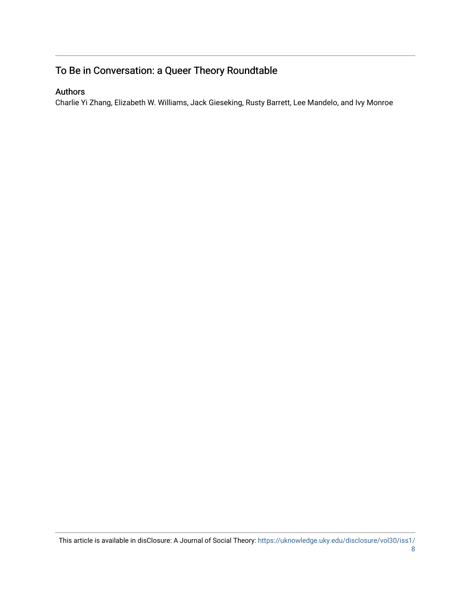## To Be in Conversation: a Queer Theory Roundtable

### Authors

Charlie Yi Zhang, Elizabeth W. Williams, Jack Gieseking, Rusty Barrett, Lee Mandelo, and Ivy Monroe

This article is available in disClosure: A Journal of Social Theory: [https://uknowledge.uky.edu/disclosure/vol30/iss1/](https://uknowledge.uky.edu/disclosure/vol30/iss1/8)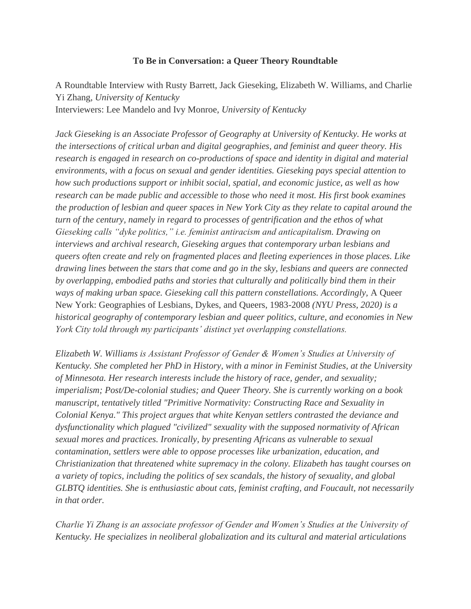#### **To Be in Conversation: a Queer Theory Roundtable**

A Roundtable Interview with Rusty Barrett, Jack Gieseking, Elizabeth W. Williams, and Charlie Yi Zhang, *University of Kentucky* Interviewers: Lee Mandelo and Ivy Monroe, *University of Kentucky*

*Jack Gieseking is an Associate Professor of Geography at University of Kentucky. He works at the intersections of critical urban and digital geographies, and feminist and queer theory. His research is engaged in research on co-productions of space and identity in digital and material environments, with a focus on sexual and gender identities. Gieseking pays special attention to how such productions support or inhibit social, spatial, and economic justice, as well as how research can be made public and accessible to those who need it most. His first book examines the production of lesbian and queer spaces in New York City as they relate to capital around the turn of the century, namely in regard to processes of gentrification and the ethos of what Gieseking calls "dyke politics," i.e. feminist antiracism and anticapitalism. Drawing on interviews and archival research, Gieseking argues that contemporary urban lesbians and queers often create and rely on fragmented places and fleeting experiences in those places. Like drawing lines between the stars that come and go in the sky, lesbians and queers are connected by overlapping, embodied paths and stories that culturally and politically bind them in their ways of making urban space. Gieseking call this pattern constellations. Accordingly,* A Queer New York: Geographies of Lesbians, Dykes, and Queers, 1983-2008 *(NYU Press, 2020) is a historical geography of contemporary lesbian and queer politics, culture, and economies in New York City told through my participants' distinct yet overlapping constellations.* 

*Elizabeth W. Williams is Assistant Professor of Gender & Women's Studies at University of Kentucky. She completed her PhD in History, with a minor in Feminist Studies, at the University of Minnesota. Her research interests include the history of race, gender, and sexuality; imperialism; Post/De-colonial studies; and Queer Theory. She is currently working on a book manuscript, tentatively titled "Primitive Normativity: Constructing Race and Sexuality in Colonial Kenya." This project argues that white Kenyan settlers contrasted the deviance and dysfunctionality which plagued "civilized" sexuality with the supposed normativity of African sexual mores and practices. Ironically, by presenting Africans as vulnerable to sexual contamination, settlers were able to oppose processes like urbanization, education, and Christianization that threatened white supremacy in the colony. Elizabeth has taught courses on a variety of topics, including the politics of sex scandals, the history of sexuality, and global GLBTQ identities. She is enthusiastic about cats, feminist crafting, and Foucault, not necessarily in that order.*

*Charlie Yi Zhang is an associate professor of Gender and Women's Studies at the University of Kentucky. He specializes in neoliberal globalization and its cultural and material articulations*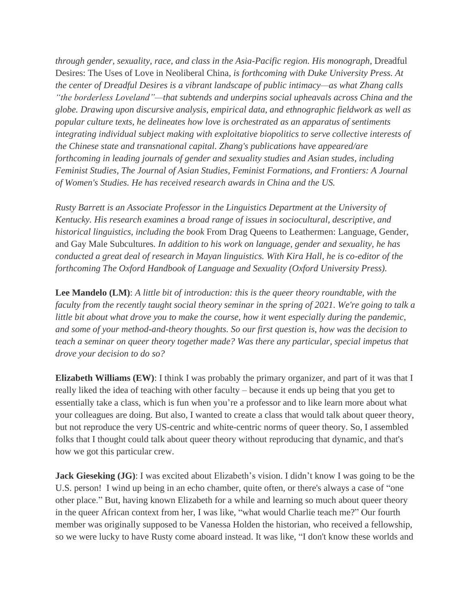*through gender, sexuality, race, and class in the Asia-Pacific region. His monograph,* Dreadful Desires: The Uses of Love in Neoliberal China*, is forthcoming with Duke University Press. At the center of Dreadful Desires is a vibrant landscape of public intimacy—as what Zhang calls "the borderless Loveland"—that subtends and underpins social upheavals across China and the globe. Drawing upon discursive analysis, empirical data, and ethnographic fieldwork as well as popular culture texts, he delineates how love is orchestrated as an apparatus of sentiments integrating individual subject making with exploitative biopolitics to serve collective interests of the Chinese state and transnational capital. Zhang's publications have appeared/are forthcoming in leading journals of gender and sexuality studies and Asian studes, including Feminist Studies, The Journal of Asian Studies, Feminist Formations, and Frontiers: A Journal of Women's Studies. He has received research awards in China and the US.* 

*Rusty Barrett is an Associate Professor in the Linguistics Department at the University of Kentucky. His research examines a broad range of issues in sociocultural, descriptive, and historical linguistics, including the book* From Drag Queens to Leathermen: Language, Gender, and Gay Male Subcultures*. In addition to his work on language, gender and sexuality, he has conducted a great deal of research in Mayan linguistics. With Kira Hall, he is co-editor of the forthcoming The Oxford Handbook of Language and Sexuality (Oxford University Press).*

**Lee Mandelo (LM)**: *A little bit of introduction: this is the queer theory roundtable, with the faculty from the recently taught social theory seminar in the spring of 2021. We're going to talk a*  little bit about what drove you to make the course, how it went especially during the pandemic, *and some of your method-and-theory thoughts. So our first question is, how was the decision to teach a seminar on queer theory together made? Was there any particular, special impetus that drove your decision to do so?*

**Elizabeth Williams (EW)**: I think I was probably the primary organizer, and part of it was that I really liked the idea of teaching with other faculty – because it ends up being that you get to essentially take a class, which is fun when you're a professor and to like learn more about what your colleagues are doing. But also, I wanted to create a class that would talk about queer theory, but not reproduce the very US-centric and white-centric norms of queer theory. So, I assembled folks that I thought could talk about queer theory without reproducing that dynamic, and that's how we got this particular crew.

**Jack Gieseking (JG):** I was excited about Elizabeth's vision. I didn't know I was going to be the U.S. person! I wind up being in an echo chamber, quite often, or there's always a case of "one other place." But, having known Elizabeth for a while and learning so much about queer theory in the queer African context from her, I was like, "what would Charlie teach me?" Our fourth member was originally supposed to be Vanessa Holden the historian, who received a fellowship, so we were lucky to have Rusty come aboard instead. It was like, "I don't know these worlds and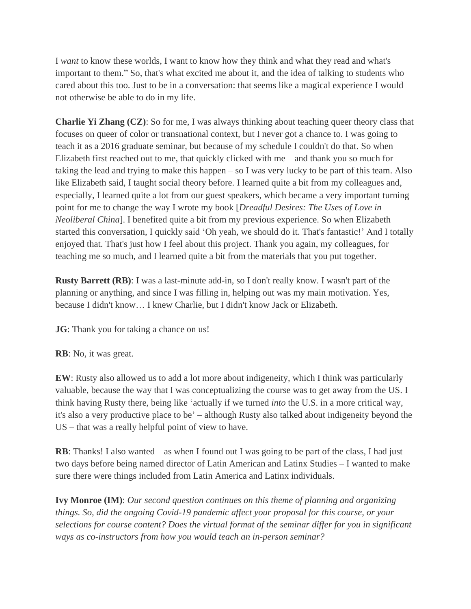I *want* to know these worlds, I want to know how they think and what they read and what's important to them." So, that's what excited me about it, and the idea of talking to students who cared about this too. Just to be in a conversation: that seems like a magical experience I would not otherwise be able to do in my life.

**Charlie Yi Zhang (CZ)**: So for me, I was always thinking about teaching queer theory class that focuses on queer of color or transnational context, but I never got a chance to. I was going to teach it as a 2016 graduate seminar, but because of my schedule I couldn't do that. So when Elizabeth first reached out to me, that quickly clicked with me – and thank you so much for taking the lead and trying to make this happen – so I was very lucky to be part of this team. Also like Elizabeth said, I taught social theory before. I learned quite a bit from my colleagues and, especially, I learned quite a lot from our guest speakers, which became a very important turning point for me to change the way I wrote my book [*Dreadful Desires: The Uses of Love in Neoliberal China*]. I benefited quite a bit from my previous experience. So when Elizabeth started this conversation, I quickly said 'Oh yeah, we should do it. That's fantastic!' And I totally enjoyed that. That's just how I feel about this project. Thank you again, my colleagues, for teaching me so much, and I learned quite a bit from the materials that you put together.

**Rusty Barrett (RB)**: I was a last-minute add-in, so I don't really know. I wasn't part of the planning or anything, and since I was filling in, helping out was my main motivation. Yes, because I didn't know… I knew Charlie, but I didn't know Jack or Elizabeth.

**JG**: Thank you for taking a chance on us!

### **RB**: No, it was great.

**EW**: Rusty also allowed us to add a lot more about indigeneity, which I think was particularly valuable, because the way that I was conceptualizing the course was to get away from the US. I think having Rusty there, being like 'actually if we turned *into* the U.S. in a more critical way, it's also a very productive place to be' – although Rusty also talked about indigeneity beyond the US – that was a really helpful point of view to have.

**RB**: Thanks! I also wanted – as when I found out I was going to be part of the class, I had just two days before being named director of Latin American and Latinx Studies – I wanted to make sure there were things included from Latin America and Latinx individuals.

**Ivy Monroe (IM)**: *Our second question continues on this theme of planning and organizing things. So, did the ongoing Covid-19 pandemic affect your proposal for this course, or your selections for course content? Does the virtual format of the seminar differ for you in significant ways as co-instructors from how you would teach an in-person seminar?*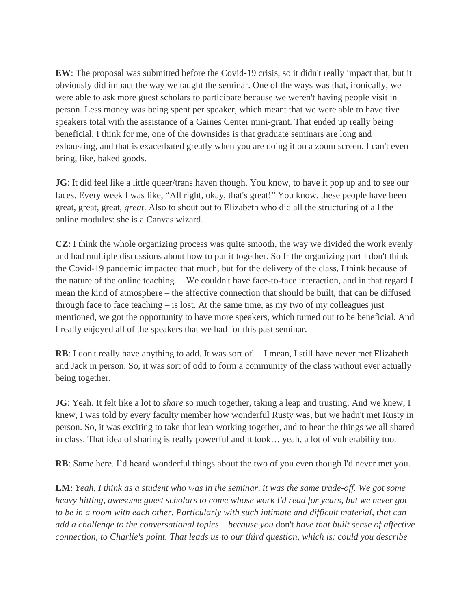**EW**: The proposal was submitted before the Covid-19 crisis, so it didn't really impact that, but it obviously did impact the way we taught the seminar. One of the ways was that, ironically, we were able to ask more guest scholars to participate because we weren't having people visit in person. Less money was being spent per speaker, which meant that we were able to have five speakers total with the assistance of a Gaines Center mini-grant. That ended up really being beneficial. I think for me, one of the downsides is that graduate seminars are long and exhausting, and that is exacerbated greatly when you are doing it on a zoom screen. I can't even bring, like, baked goods.

**JG**: It did feel like a little queer/trans haven though. You know, to have it pop up and to see our faces. Every week I was like, "All right, okay, that's great!" You know, these people have been great, great, great, *great*. Also to shout out to Elizabeth who did all the structuring of all the online modules: she is a Canvas wizard.

**CZ**: I think the whole organizing process was quite smooth, the way we divided the work evenly and had multiple discussions about how to put it together. So fr the organizing part I don't think the Covid-19 pandemic impacted that much, but for the delivery of the class, I think because of the nature of the online teaching… We couldn't have face-to-face interaction, and in that regard I mean the kind of atmosphere – the affective connection that should be built, that can be diffused through face to face teaching  $-$  is lost. At the same time, as my two of my colleagues just mentioned, we got the opportunity to have more speakers, which turned out to be beneficial. And I really enjoyed all of the speakers that we had for this past seminar.

**RB**: I don't really have anything to add. It was sort of… I mean, I still have never met Elizabeth and Jack in person. So, it was sort of odd to form a community of the class without ever actually being together.

**JG**: Yeah. It felt like a lot to *share* so much together, taking a leap and trusting. And we knew, I knew, I was told by every faculty member how wonderful Rusty was, but we hadn't met Rusty in person. So, it was exciting to take that leap working together, and to hear the things we all shared in class. That idea of sharing is really powerful and it took… yeah, a lot of vulnerability too.

**RB**: Same here. I'd heard wonderful things about the two of you even though I'd never met you.

**LM**: *Yeah, I think as a student who was in the seminar, it was the same trade-off. We got some heavy hitting, awesome guest scholars to come whose work I'd read for years, but we never got to be in a room with each other. Particularly with such intimate and difficult material, that can add a challenge to the conversational topics – because you* don't *have that built sense of affective connection, to Charlie's point. That leads us to our third question, which is: could you describe*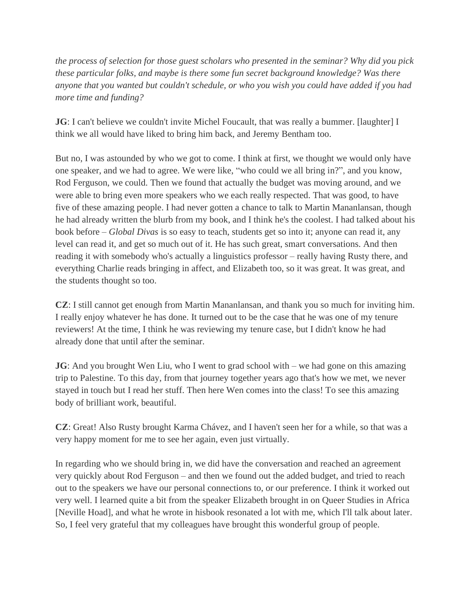*the process of selection for those guest scholars who presented in the seminar? Why did you pick these particular folks, and maybe is there some fun secret background knowledge? Was there anyone that you wanted but couldn't schedule, or who you wish you could have added if you had more time and funding?*

**JG**: I can't believe we couldn't invite Michel Foucault, that was really a bummer. [laughter] I think we all would have liked to bring him back, and Jeremy Bentham too.

But no, I was astounded by who we got to come. I think at first, we thought we would only have one speaker, and we had to agree. We were like, "who could we all bring in?", and you know, Rod Ferguson, we could. Then we found that actually the budget was moving around, and we were able to bring even more speakers who we each really respected. That was good, to have five of these amazing people. I had never gotten a chance to talk to Martin Mananlansan, though he had already written the blurb from my book, and I think he's the coolest. I had talked about his book before – *Global Divas* is so easy to teach, students get so into it; anyone can read it, any level can read it, and get so much out of it. He has such great, smart conversations. And then reading it with somebody who's actually a linguistics professor – really having Rusty there, and everything Charlie reads bringing in affect, and Elizabeth too, so it was great. It was great, and the students thought so too.

**CZ**: I still cannot get enough from Martin Mananlansan, and thank you so much for inviting him. I really enjoy whatever he has done. It turned out to be the case that he was one of my tenure reviewers! At the time, I think he was reviewing my tenure case, but I didn't know he had already done that until after the seminar.

**JG**: And you brought Wen Liu, who I went to grad school with – we had gone on this amazing trip to Palestine. To this day, from that journey together years ago that's how we met, we never stayed in touch but I read her stuff. Then here Wen comes into the class! To see this amazing body of brilliant work, beautiful.

**CZ**: Great! Also Rusty brought Karma Chávez, and I haven't seen her for a while, so that was a very happy moment for me to see her again, even just virtually.

In regarding who we should bring in, we did have the conversation and reached an agreement very quickly about Rod Ferguson – and then we found out the added budget, and tried to reach out to the speakers we have our personal connections to, or our preference. I think it worked out very well. I learned quite a bit from the speaker Elizabeth brought in on Queer Studies in Africa [Neville Hoad], and what he wrote in hisbook resonated a lot with me, which I'll talk about later. So, I feel very grateful that my colleagues have brought this wonderful group of people.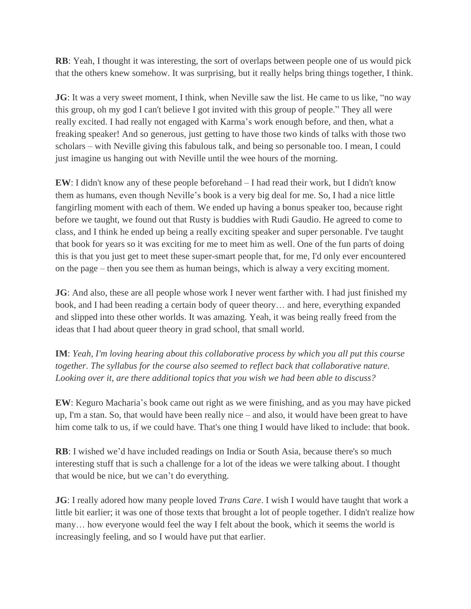**RB**: Yeah, I thought it was interesting, the sort of overlaps between people one of us would pick that the others knew somehow. It was surprising, but it really helps bring things together, I think.

**JG**: It was a very sweet moment, I think, when Neville saw the list. He came to us like, "no way this group, oh my god I can't believe I got invited with this group of people." They all were really excited. I had really not engaged with Karma's work enough before, and then, what a freaking speaker! And so generous, just getting to have those two kinds of talks with those two scholars – with Neville giving this fabulous talk, and being so personable too. I mean, I could just imagine us hanging out with Neville until the wee hours of the morning.

**EW**: I didn't know any of these people beforehand – I had read their work, but I didn't know them as humans, even though Neville's book is a very big deal for me. So, I had a nice little fangirling moment with each of them. We ended up having a bonus speaker too, because right before we taught, we found out that Rusty is buddies with Rudi Gaudio. He agreed to come to class, and I think he ended up being a really exciting speaker and super personable. I've taught that book for years so it was exciting for me to meet him as well. One of the fun parts of doing this is that you just get to meet these super-smart people that, for me, I'd only ever encountered on the page – then you see them as human beings, which is alway a very exciting moment.

**JG**: And also, these are all people whose work I never went farther with. I had just finished my book, and I had been reading a certain body of queer theory… and here, everything expanded and slipped into these other worlds. It was amazing. Yeah, it was being really freed from the ideas that I had about queer theory in grad school, that small world.

**IM**: *Yeah, I'm loving hearing about this collaborative process by which you all put this course together. The syllabus for the course also seemed to reflect back that collaborative nature. Looking over it, are there additional topics that you wish we had been able to discuss?*

**EW**: Keguro Macharia's book came out right as we were finishing, and as you may have picked up, I'm a stan. So, that would have been really nice – and also, it would have been great to have him come talk to us, if we could have. That's one thing I would have liked to include: that book.

**RB**: I wished we'd have included readings on India or South Asia, because there's so much interesting stuff that is such a challenge for a lot of the ideas we were talking about. I thought that would be nice, but we can't do everything.

**JG**: I really adored how many people loved *Trans Care*. I wish I would have taught that work a little bit earlier; it was one of those texts that brought a lot of people together. I didn't realize how many… how everyone would feel the way I felt about the book, which it seems the world is increasingly feeling, and so I would have put that earlier.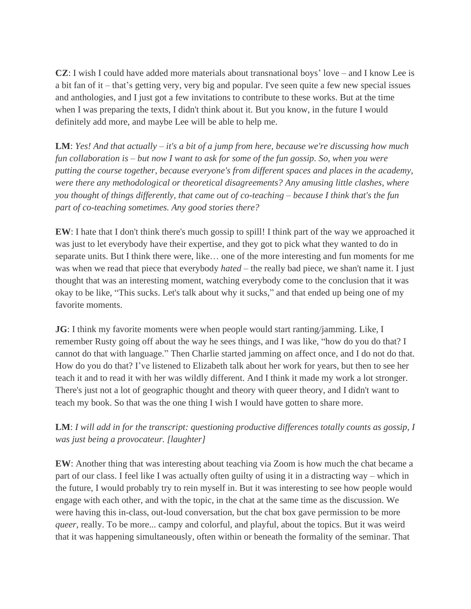**CZ**: I wish I could have added more materials about transnational boys' love – and I know Lee is a bit fan of it – that's getting very, very big and popular. I've seen quite a few new special issues and anthologies, and I just got a few invitations to contribute to these works. But at the time when I was preparing the texts, I didn't think about it. But you know, in the future I would definitely add more, and maybe Lee will be able to help me.

**LM**: *Yes! And that actually – it's a bit of a jump from here, because we're discussing how much fun collaboration is – but now I want to ask for some of the fun gossip. So, when you were putting the course together, because everyone's from different spaces and places in the academy, were there any methodological or theoretical disagreements? Any amusing little clashes, where you thought of things differently, that came out of co-teaching – because I think that's the fun part of co-teaching sometimes. Any good stories there?*

**EW**: I hate that I don't think there's much gossip to spill! I think part of the way we approached it was just to let everybody have their expertise, and they got to pick what they wanted to do in separate units. But I think there were, like… one of the more interesting and fun moments for me was when we read that piece that everybody *hated* – the really bad piece, we shan't name it. I just thought that was an interesting moment, watching everybody come to the conclusion that it was okay to be like, "This sucks. Let's talk about why it sucks," and that ended up being one of my favorite moments.

**JG**: I think my favorite moments were when people would start ranting/jamming. Like, I remember Rusty going off about the way he sees things, and I was like, "how do you do that? I cannot do that with language." Then Charlie started jamming on affect once, and I do not do that. How do you do that? I've listened to Elizabeth talk about her work for years, but then to see her teach it and to read it with her was wildly different. And I think it made my work a lot stronger. There's just not a lot of geographic thought and theory with queer theory, and I didn't want to teach my book. So that was the one thing I wish I would have gotten to share more.

## **LM**: *I will add in for the transcript: questioning productive differences totally counts as gossip, I was just being a provocateur. [laughter]*

**EW**: Another thing that was interesting about teaching via Zoom is how much the chat became a part of our class. I feel like I was actually often guilty of using it in a distracting way – which in the future, I would probably try to rein myself in. But it was interesting to see how people would engage with each other, and with the topic, in the chat at the same time as the discussion. We were having this in-class, out-loud conversation, but the chat box gave permission to be more *queer*, really. To be more... campy and colorful, and playful, about the topics. But it was weird that it was happening simultaneously, often within or beneath the formality of the seminar. That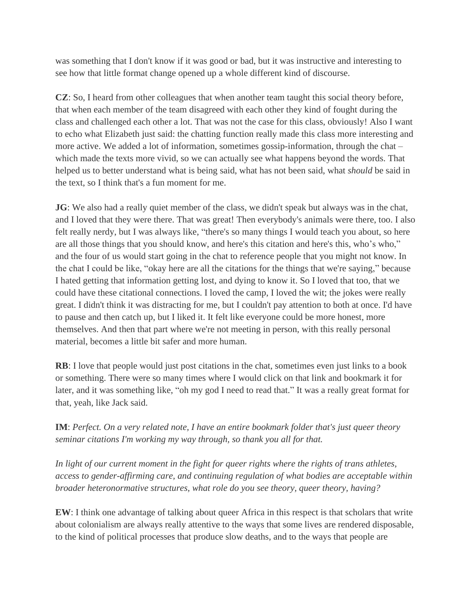was something that I don't know if it was good or bad, but it was instructive and interesting to see how that little format change opened up a whole different kind of discourse.

**CZ**: So, I heard from other colleagues that when another team taught this social theory before, that when each member of the team disagreed with each other they kind of fought during the class and challenged each other a lot. That was not the case for this class, obviously! Also I want to echo what Elizabeth just said: the chatting function really made this class more interesting and more active. We added a lot of information, sometimes gossip-information, through the chat – which made the texts more vivid, so we can actually see what happens beyond the words. That helped us to better understand what is being said, what has not been said, what *should* be said in the text, so I think that's a fun moment for me.

**JG**: We also had a really quiet member of the class, we didn't speak but always was in the chat, and I loved that they were there. That was great! Then everybody's animals were there, too. I also felt really nerdy, but I was always like, "there's so many things I would teach you about, so here are all those things that you should know, and here's this citation and here's this, who's who," and the four of us would start going in the chat to reference people that you might not know. In the chat I could be like, "okay here are all the citations for the things that we're saying," because I hated getting that information getting lost, and dying to know it. So I loved that too, that we could have these citational connections. I loved the camp, I loved the wit; the jokes were really great. I didn't think it was distracting for me, but I couldn't pay attention to both at once. I'd have to pause and then catch up, but I liked it. It felt like everyone could be more honest, more themselves. And then that part where we're not meeting in person, with this really personal material, becomes a little bit safer and more human.

**RB**: I love that people would just post citations in the chat, sometimes even just links to a book or something. There were so many times where I would click on that link and bookmark it for later, and it was something like, "oh my god I need to read that." It was a really great format for that, yeah, like Jack said.

**IM**: *Perfect. On a very related note, I have an entire bookmark folder that's just queer theory seminar citations I'm working my way through, so thank you all for that.* 

*In light of our current moment in the fight for queer rights where the rights of trans athletes, access to gender-affirming care, and continuing regulation of what bodies are acceptable within broader heteronormative structures, what role do you see theory, queer theory, having?*

**EW**: I think one advantage of talking about queer Africa in this respect is that scholars that write about colonialism are always really attentive to the ways that some lives are rendered disposable, to the kind of political processes that produce slow deaths, and to the ways that people are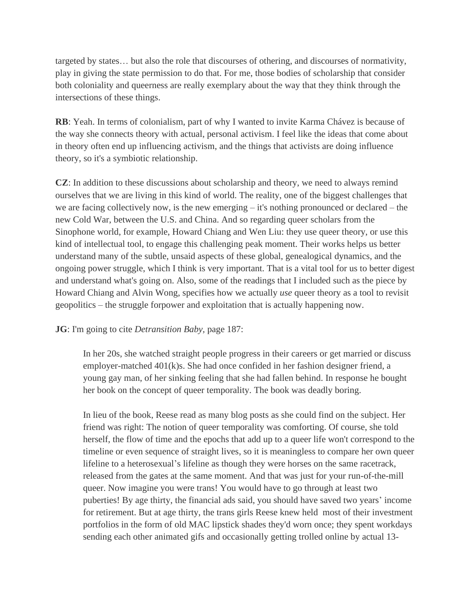targeted by states… but also the role that discourses of othering, and discourses of normativity, play in giving the state permission to do that. For me, those bodies of scholarship that consider both coloniality and queerness are really exemplary about the way that they think through the intersections of these things.

**RB**: Yeah. In terms of colonialism, part of why I wanted to invite Karma Chávez is because of the way she connects theory with actual, personal activism. I feel like the ideas that come about in theory often end up influencing activism, and the things that activists are doing influence theory, so it's a symbiotic relationship.

**CZ**: In addition to these discussions about scholarship and theory, we need to always remind ourselves that we are living in this kind of world. The reality, one of the biggest challenges that we are facing collectively now, is the new emerging – it's nothing pronounced or declared – the new Cold War, between the U.S. and China. And so regarding queer scholars from the Sinophone world, for example, Howard Chiang and Wen Liu: they use queer theory, or use this kind of intellectual tool, to engage this challenging peak moment. Their works helps us better understand many of the subtle, unsaid aspects of these global, genealogical dynamics, and the ongoing power struggle, which I think is very important. That is a vital tool for us to better digest and understand what's going on. Also, some of the readings that I included such as the piece by Howard Chiang and Alvin Wong, specifies how we actually *use* queer theory as a tool to revisit geopolitics – the struggle forpower and exploitation that is actually happening now.

### **JG**: I'm going to cite *Detransition Baby,* page 187:

In her 20s, she watched straight people progress in their careers or get married or discuss employer-matched 401(k)s. She had once confided in her fashion designer friend, a young gay man, of her sinking feeling that she had fallen behind. In response he bought her book on the concept of queer temporality. The book was deadly boring.

In lieu of the book, Reese read as many blog posts as she could find on the subject. Her friend was right: The notion of queer temporality was comforting. Of course, she told herself, the flow of time and the epochs that add up to a queer life won't correspond to the timeline or even sequence of straight lives, so it is meaningless to compare her own queer lifeline to a heterosexual's lifeline as though they were horses on the same racetrack, released from the gates at the same moment. And that was just for your run-of-the-mill queer. Now imagine you were trans! You would have to go through at least two puberties! By age thirty, the financial ads said, you should have saved two years' income for retirement. But at age thirty, the trans girls Reese knew held most of their investment portfolios in the form of old MAC lipstick shades they'd worn once; they spent workdays sending each other animated gifs and occasionally getting trolled online by actual 13-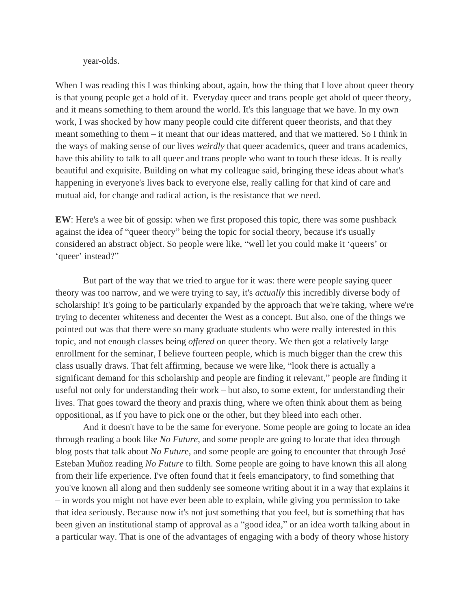#### year-olds.

When I was reading this I was thinking about, again, how the thing that I love about queer theory is that young people get a hold of it. Everyday queer and trans people get ahold of queer theory, and it means something to them around the world. It's this language that we have. In my own work, I was shocked by how many people could cite different queer theorists, and that they meant something to them – it meant that our ideas mattered, and that we mattered. So I think in the ways of making sense of our lives *weirdly* that queer academics, queer and trans academics, have this ability to talk to all queer and trans people who want to touch these ideas. It is really beautiful and exquisite. Building on what my colleague said, bringing these ideas about what's happening in everyone's lives back to everyone else, really calling for that kind of care and mutual aid, for change and radical action, is the resistance that we need.

**EW**: Here's a wee bit of gossip: when we first proposed this topic, there was some pushback against the idea of "queer theory" being the topic for social theory, because it's usually considered an abstract object. So people were like, "well let you could make it 'queers' or 'queer' instead?"

But part of the way that we tried to argue for it was: there were people saying queer theory was too narrow, and we were trying to say, it's *actually* this incredibly diverse body of scholarship! It's going to be particularly expanded by the approach that we're taking, where we're trying to decenter whiteness and decenter the West as a concept. But also, one of the things we pointed out was that there were so many graduate students who were really interested in this topic, and not enough classes being *offered* on queer theory. We then got a relatively large enrollment for the seminar, I believe fourteen people, which is much bigger than the crew this class usually draws. That felt affirming, because we were like, "look there is actually a significant demand for this scholarship and people are finding it relevant," people are finding it useful not only for understanding their work – but also, to some extent, for understanding their lives. That goes toward the theory and praxis thing, where we often think about them as being oppositional, as if you have to pick one or the other, but they bleed into each other.

And it doesn't have to be the same for everyone. Some people are going to locate an idea through reading a book like *No Future*, and some people are going to locate that idea through blog posts that talk about *No Futur*e, and some people are going to encounter that through José Esteban Muñoz reading *No Future* to filth. Some people are going to have known this all along from their life experience. I've often found that it feels emancipatory, to find something that you've known all along and then suddenly see someone writing about it in a way that explains it – in words you might not have ever been able to explain, while giving you permission to take that idea seriously. Because now it's not just something that you feel, but is something that has been given an institutional stamp of approval as a "good idea," or an idea worth talking about in a particular way. That is one of the advantages of engaging with a body of theory whose history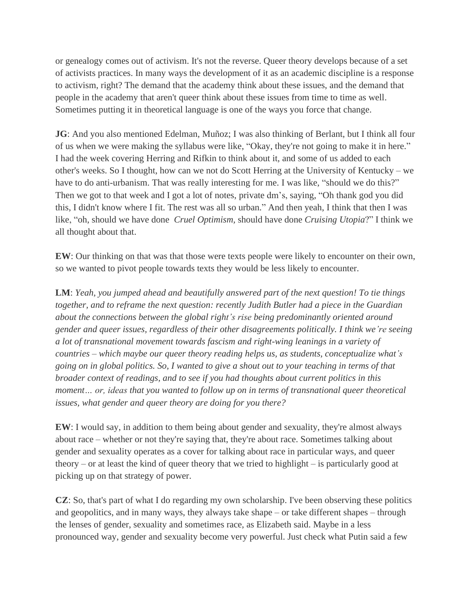or genealogy comes out of activism. It's not the reverse. Queer theory develops because of a set of activists practices. In many ways the development of it as an academic discipline is a response to activism, right? The demand that the academy think about these issues, and the demand that people in the academy that aren't queer think about these issues from time to time as well. Sometimes putting it in theoretical language is one of the ways you force that change.

**JG**: And you also mentioned Edelman, Muñoz; I was also thinking of Berlant, but I think all four of us when we were making the syllabus were like, "Okay, they're not going to make it in here." I had the week covering Herring and Rifkin to think about it, and some of us added to each other's weeks. So I thought, how can we not do Scott Herring at the University of Kentucky – we have to do anti-urbanism. That was really interesting for me. I was like, "should we do this?" Then we got to that week and I got a lot of notes, private dm's, saying, "Oh thank god you did this, I didn't know where I fit. The rest was all so urban." And then yeah, I think that then I was like, "oh, should we have done *Cruel Optimism,* should have done *Cruising Utopia*?" I think we all thought about that.

**EW**: Our thinking on that was that those were texts people were likely to encounter on their own, so we wanted to pivot people towards texts they would be less likely to encounter.

**LM**: *Yeah, you jumped ahead and beautifully answered part of the next question! To tie things together, and to reframe the next question: recently Judith Butler had a piece in the Guardian about the connections between the global right's rise being predominantly oriented around gender and queer issues, regardless of their other disagreements politically. I think we're seeing a lot of transnational movement towards fascism and right-wing leanings in a variety of countries – which maybe our queer theory reading helps us, as students, conceptualize what's going on in global politics. So, I wanted to give a shout out to your teaching in terms of that broader context of readings, and to see if you had thoughts about current politics in this moment… or, ideas that you wanted to follow up on in terms of transnational queer theoretical issues, what gender and queer theory are doing for you there?*

**EW**: I would say, in addition to them being about gender and sexuality, they're almost always about race – whether or not they're saying that, they're about race. Sometimes talking about gender and sexuality operates as a cover for talking about race in particular ways, and queer theory – or at least the kind of queer theory that we tried to highlight – is particularly good at picking up on that strategy of power.

**CZ**: So, that's part of what I do regarding my own scholarship. I've been observing these politics and geopolitics, and in many ways, they always take shape – or take different shapes – through the lenses of gender, sexuality and sometimes race, as Elizabeth said. Maybe in a less pronounced way, gender and sexuality become very powerful. Just check what Putin said a few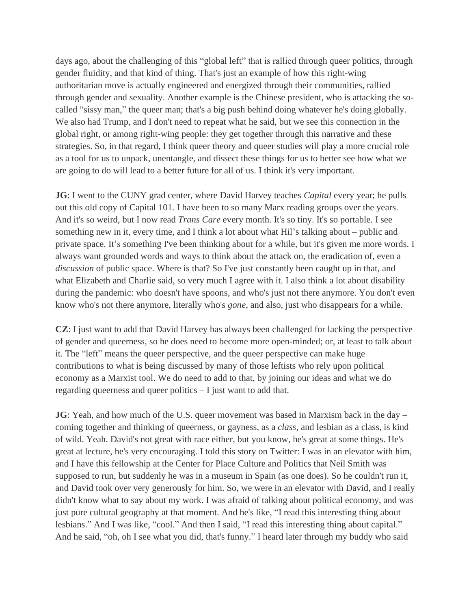days ago, about the challenging of this "global left" that is rallied through queer politics, through gender fluidity, and that kind of thing. That's just an example of how this right-wing authoritarian move is actually engineered and energized through their communities, rallied through gender and sexuality. Another example is the Chinese president, who is attacking the socalled "sissy man," the queer man; that's a big push behind doing whatever he's doing globally. We also had Trump, and I don't need to repeat what he said, but we see this connection in the global right, or among right-wing people: they get together through this narrative and these strategies. So, in that regard, I think queer theory and queer studies will play a more crucial role as a tool for us to unpack, unentangle, and dissect these things for us to better see how what we are going to do will lead to a better future for all of us. I think it's very important.

**JG**: I went to the CUNY grad center, where David Harvey teaches *Capital* every year; he pulls out this old copy of Capital 101. I have been to so many Marx reading groups over the years. And it's so weird, but I now read *Trans Care* every month. It's so tiny. It's so portable. I see something new in it, every time, and I think a lot about what Hil's talking about – public and private space. It's something I've been thinking about for a while, but it's given me more words. I always want grounded words and ways to think about the attack on, the eradication of, even a *discussion* of public space. Where is that? So I've just constantly been caught up in that, and what Elizabeth and Charlie said, so very much I agree with it. I also think a lot about disability during the pandemic: who doesn't have spoons, and who's just not there anymore. You don't even know who's not there anymore, literally who's *gone*, and also, just who disappears for a while.

**CZ**: I just want to add that David Harvey has always been challenged for lacking the perspective of gender and queerness, so he does need to become more open-minded; or, at least to talk about it. The "left" means the queer perspective, and the queer perspective can make huge contributions to what is being discussed by many of those leftists who rely upon political economy as a Marxist tool. We do need to add to that, by joining our ideas and what we do regarding queerness and queer politics – I just want to add that.

**JG**: Yeah, and how much of the U.S. queer movement was based in Marxism back in the day – coming together and thinking of queerness, or gayness, as a *class*, and lesbian as a class, is kind of wild. Yeah. David's not great with race either, but you know, he's great at some things. He's great at lecture, he's very encouraging. I told this story on Twitter: I was in an elevator with him, and I have this fellowship at the Center for Place Culture and Politics that Neil Smith was supposed to run, but suddenly he was in a museum in Spain (as one does). So he couldn't run it, and David took over very generously for him. So, we were in an elevator with David, and I really didn't know what to say about my work. I was afraid of talking about political economy, and was just pure cultural geography at that moment. And he's like, "I read this interesting thing about lesbians." And I was like, "cool." And then I said, "I read this interesting thing about capital." And he said, "oh, oh I see what you did, that's funny." I heard later through my buddy who said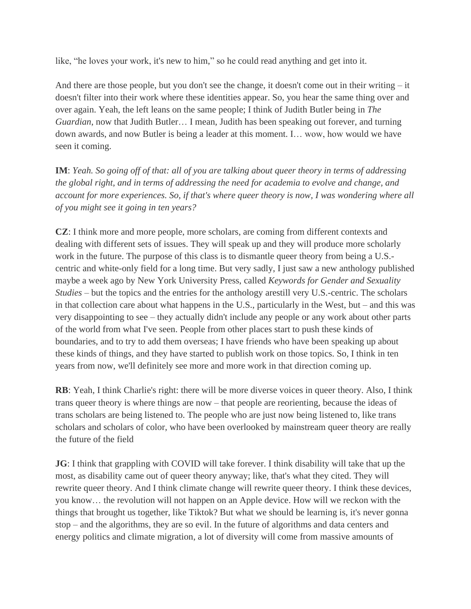like, "he loves your work, it's new to him," so he could read anything and get into it.

And there are those people, but you don't see the change, it doesn't come out in their writing – it doesn't filter into their work where these identities appear. So, you hear the same thing over and over again. Yeah, the left leans on the same people; I think of Judith Butler being in *The Guardian*, now that Judith Butler… I mean, Judith has been speaking out forever, and turning down awards, and now Butler is being a leader at this moment. I… wow, how would we have seen it coming.

**IM**: *Yeah. So going off of that: all of you are talking about queer theory in terms of addressing the global right, and in terms of addressing the need for academia to evolve and change, and account for more experiences. So, if that's where queer theory is now, I was wondering where all of you might see it going in ten years?*

**CZ**: I think more and more people, more scholars, are coming from different contexts and dealing with different sets of issues. They will speak up and they will produce more scholarly work in the future. The purpose of this class is to dismantle queer theory from being a U.S. centric and white-only field for a long time. But very sadly, I just saw a new anthology published maybe a week ago by New York University Press, called *Keywords for Gender and Sexuality Studies* – but the topics and the entries for the anthology arestill very U.S.-centric. The scholars in that collection care about what happens in the U.S., particularly in the West, but – and this was very disappointing to see – they actually didn't include any people or any work about other parts of the world from what I've seen. People from other places start to push these kinds of boundaries, and to try to add them overseas; I have friends who have been speaking up about these kinds of things, and they have started to publish work on those topics. So, I think in ten years from now, we'll definitely see more and more work in that direction coming up.

**RB**: Yeah, I think Charlie's right: there will be more diverse voices in queer theory. Also, I think trans queer theory is where things are now – that people are reorienting, because the ideas of trans scholars are being listened to. The people who are just now being listened to, like trans scholars and scholars of color, who have been overlooked by mainstream queer theory are really the future of the field

**JG**: I think that grappling with COVID will take forever. I think disability will take that up the most, as disability came out of queer theory anyway; like, that's what they cited. They will rewrite queer theory. And I think climate change will rewrite queer theory. I think these devices, you know… the revolution will not happen on an Apple device. How will we reckon with the things that brought us together, like Tiktok? But what we should be learning is, it's never gonna stop – and the algorithms, they are so evil. In the future of algorithms and data centers and energy politics and climate migration, a lot of diversity will come from massive amounts of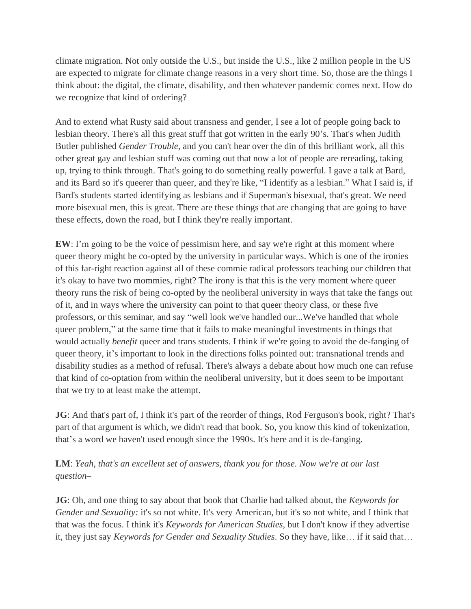climate migration. Not only outside the U.S., but inside the U.S., like 2 million people in the US are expected to migrate for climate change reasons in a very short time. So, those are the things I think about: the digital, the climate, disability, and then whatever pandemic comes next. How do we recognize that kind of ordering?

And to extend what Rusty said about transness and gender, I see a lot of people going back to lesbian theory. There's all this great stuff that got written in the early 90's. That's when Judith Butler published *Gender Trouble*, and you can't hear over the din of this brilliant work, all this other great gay and lesbian stuff was coming out that now a lot of people are rereading, taking up, trying to think through. That's going to do something really powerful. I gave a talk at Bard, and its Bard so it's queerer than queer, and they're like, "I identify as a lesbian." What I said is, if Bard's students started identifying as lesbians and if Superman's bisexual, that's great. We need more bisexual men, this is great. There are these things that are changing that are going to have these effects, down the road, but I think they're really important.

**EW**: I'm going to be the voice of pessimism here, and say we're right at this moment where queer theory might be co-opted by the university in particular ways. Which is one of the ironies of this far-right reaction against all of these commie radical professors teaching our children that it's okay to have two mommies, right? The irony is that this is the very moment where queer theory runs the risk of being co-opted by the neoliberal university in ways that take the fangs out of it, and in ways where the university can point to that queer theory class, or these five professors, or this seminar, and say "well look we've handled our...We've handled that whole queer problem," at the same time that it fails to make meaningful investments in things that would actually *benefit* queer and trans students. I think if we're going to avoid the de-fanging of queer theory, it's important to look in the directions folks pointed out: transnational trends and disability studies as a method of refusal. There's always a debate about how much one can refuse that kind of co-optation from within the neoliberal university, but it does seem to be important that we try to at least make the attempt.

**JG**: And that's part of, I think it's part of the reorder of things, Rod Ferguson's book, right? That's part of that argument is which, we didn't read that book. So, you know this kind of tokenization, that's a word we haven't used enough since the 1990s. It's here and it is de-fanging.

**LM**: *Yeah, that's an excellent set of answers, thank you for those. Now we're at our last question–*

**JG**: Oh, and one thing to say about that book that Charlie had talked about, the *Keywords for Gender and Sexuality:* it's so not white. It's very American, but it's so not white, and I think that that was the focus. I think it's *Keywords for American Studies,* but I don't know if they advertise it, they just say *Keywords for Gender and Sexuality Studies*. So they have, like… if it said that…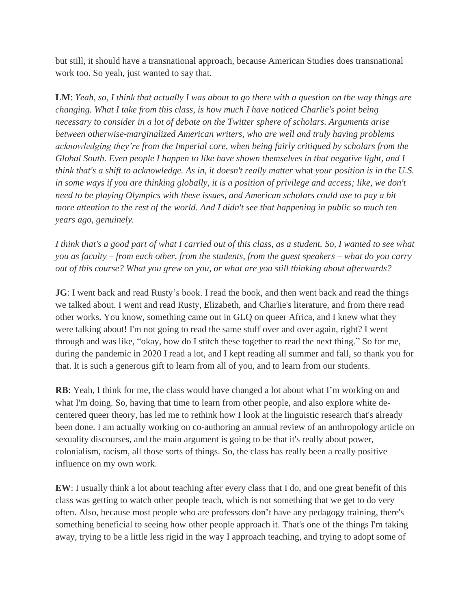but still, it should have a transnational approach, because American Studies does transnational work too. So yeah, just wanted to say that.

**LM**: *Yeah, so, I think that actually I was about to go there with a question on the way things are changing. What I take from this class, is how much I have noticed Charlie's point being necessary to consider in a lot of debate on the Twitter sphere of scholars. Arguments arise between otherwise-marginalized American writers, who are well and truly having problems acknowledging they're from the Imperial core, when being fairly critiqued by scholars from the Global South. Even people I happen to like have shown themselves in that negative light, and I think that's a shift to acknowledge. As in, it doesn't really matter* what *your position is in the U.S. in some ways if you are thinking globally, it is a position of privilege and access; like, we don't need to be playing Olympics with these issues, and American scholars could use to pay a bit more attention to the rest of the world. And I didn't see that happening in public so much ten years ago, genuinely.* 

*I think that's a good part of what I carried out of this class, as a student. So, I wanted to see what you as faculty – from each other, from the students, from the guest speakers – what do you carry out of this course? What you grew on you, or what are you still thinking about afterwards?*

**JG**: I went back and read Rusty's book. I read the book, and then went back and read the things we talked about. I went and read Rusty, Elizabeth, and Charlie's literature, and from there read other works. You know, something came out in GLQ on queer Africa, and I knew what they were talking about! I'm not going to read the same stuff over and over again, right? I went through and was like, "okay, how do I stitch these together to read the next thing." So for me, during the pandemic in 2020 I read a lot, and I kept reading all summer and fall, so thank you for that. It is such a generous gift to learn from all of you, and to learn from our students.

**RB**: Yeah, I think for me, the class would have changed a lot about what I'm working on and what I'm doing. So, having that time to learn from other people, and also explore white decentered queer theory, has led me to rethink how I look at the linguistic research that's already been done. I am actually working on co-authoring an annual review of an anthropology article on sexuality discourses, and the main argument is going to be that it's really about power, colonialism, racism, all those sorts of things. So, the class has really been a really positive influence on my own work.

**EW**: I usually think a lot about teaching after every class that I do, and one great benefit of this class was getting to watch other people teach, which is not something that we get to do very often. Also, because most people who are professors don't have any pedagogy training, there's something beneficial to seeing how other people approach it. That's one of the things I'm taking away, trying to be a little less rigid in the way I approach teaching, and trying to adopt some of